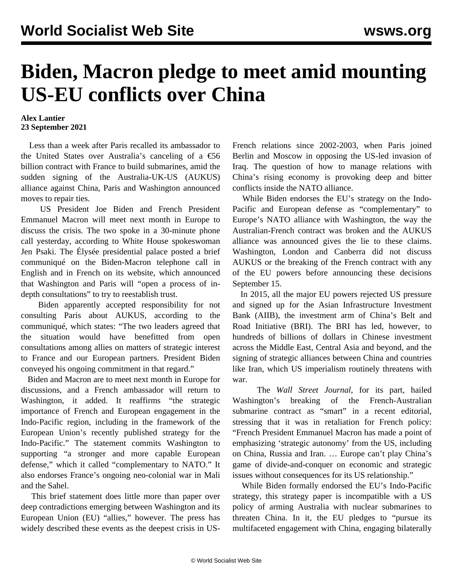## **Biden, Macron pledge to meet amid mounting US-EU conflicts over China**

## **Alex Lantier 23 September 2021**

 Less than a week after Paris recalled its ambassador to the United States over Australia's canceling of a  $\epsilon$ 56 billion contract with France to build submarines, amid the sudden signing of the Australia-UK-US (AUKUS) alliance against China, Paris and Washington announced moves to repair ties.

 US President Joe Biden and French President Emmanuel Macron will meet next month in Europe to discuss the crisis. The two spoke in a 30-minute phone call yesterday, according to White House spokeswoman Jen Psaki. The Élysée presidential palace posted a brief communiqué on the Biden-Macron telephone call in English and in French on its website, which announced that Washington and Paris will "open a process of indepth consultations" to try to reestablish trust.

 Biden apparently accepted responsibility for not consulting Paris about AUKUS, according to the communiqué, which states: "The two leaders agreed that the situation would have benefitted from open consultations among allies on matters of strategic interest to France and our European partners. President Biden conveyed his ongoing commitment in that regard."

 Biden and Macron are to meet next month in Europe for discussions, and a French ambassador will return to Washington, it added. It reaffirms "the strategic importance of French and European engagement in the Indo-Pacific region, including in the framework of the European Union's recently published strategy for the Indo-Pacific." The statement commits Washington to supporting "a stronger and more capable European defense," which it called "complementary to NATO." It also endorses France's ongoing neo-colonial war in Mali and the Sahel.

 This brief statement does little more than paper over deep contradictions emerging between Washington and its European Union (EU) "allies," however. The press has widely described these events as the deepest crisis in US-

French relations since 2002-2003, when Paris joined Berlin and Moscow in opposing the US-led invasion of Iraq. The question of how to manage relations with China's rising economy is provoking deep and bitter conflicts inside the NATO alliance.

 While Biden endorses the EU's strategy on the Indo-Pacific and European defense as "complementary" to Europe's NATO alliance with Washington, the way the Australian-French contract was broken and the AUKUS alliance was announced gives the lie to these claims. Washington, London and Canberra did not discuss AUKUS or the breaking of the French contract with any of the EU powers before announcing these decisions September 15.

 In 2015, all the major EU powers rejected US pressure and signed up for the Asian Infrastructure Investment Bank (AIIB), the investment arm of China's Belt and Road Initiative (BRI). The BRI has led, however, to hundreds of billions of dollars in Chinese investment across the Middle East, Central Asia and beyond, and the signing of strategic alliances between China and countries like Iran, which US imperialism routinely threatens with war.

 The *Wall Street Journal*, for its part, hailed Washington's breaking of the French-Australian submarine contract as "smart" in a recent editorial, stressing that it was in retaliation for French policy: "French President Emmanuel Macron has made a point of emphasizing 'strategic autonomy' from the US, including on China, Russia and Iran. … Europe can't play China's game of divide-and-conquer on economic and strategic issues without consequences for its US relationship."

 While Biden formally endorsed the EU's Indo-Pacific strategy, this strategy paper is incompatible with a US policy of arming Australia with nuclear submarines to threaten China. In it, the EU pledges to "pursue its multifaceted engagement with China, engaging bilaterally